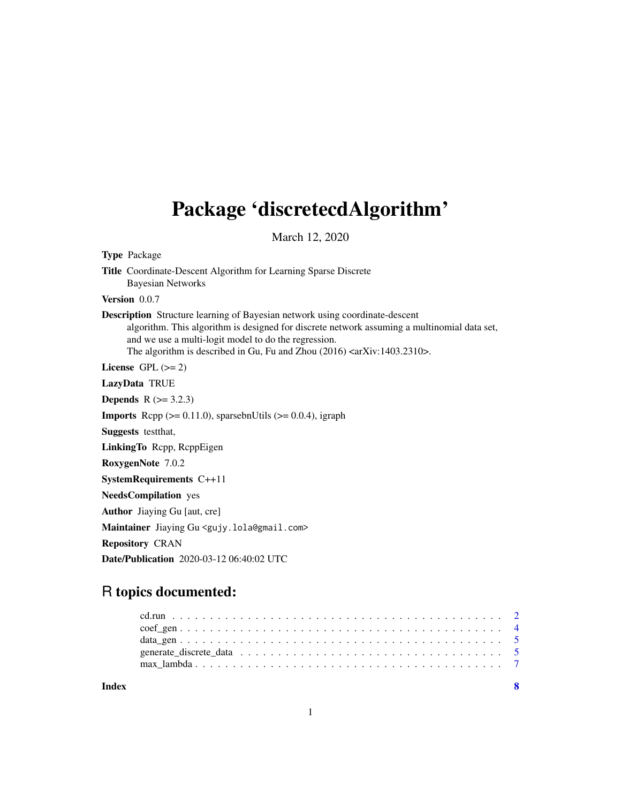# <span id="page-0-0"></span>Package 'discretecdAlgorithm'

March 12, 2020

Type Package Title Coordinate-Descent Algorithm for Learning Sparse Discrete Bayesian Networks Version 0.0.7 Description Structure learning of Bayesian network using coordinate-descent algorithm. This algorithm is designed for discrete network assuming a multinomial data set, and we use a multi-logit model to do the regression. The algorithm is described in Gu, Fu and Zhou (2016) <arXiv:1403.2310>. License GPL  $(>= 2)$ LazyData TRUE **Depends**  $R$  ( $>= 3.2.3$ ) **Imports** Rcpp  $(>= 0.11.0)$ , sparsebnUtils  $(>= 0.0.4)$ , igraph Suggests testthat, LinkingTo Rcpp, RcppEigen RoxygenNote 7.0.2 SystemRequirements C++11 NeedsCompilation yes Author Jiaying Gu [aut, cre] Maintainer Jiaying Gu <gujy.lola@gmail.com> Repository CRAN Date/Publication 2020-03-12 06:40:02 UTC

# R topics documented:

| Index | - 8 |
|-------|-----|
|       |     |
|       |     |
|       |     |
|       |     |
|       |     |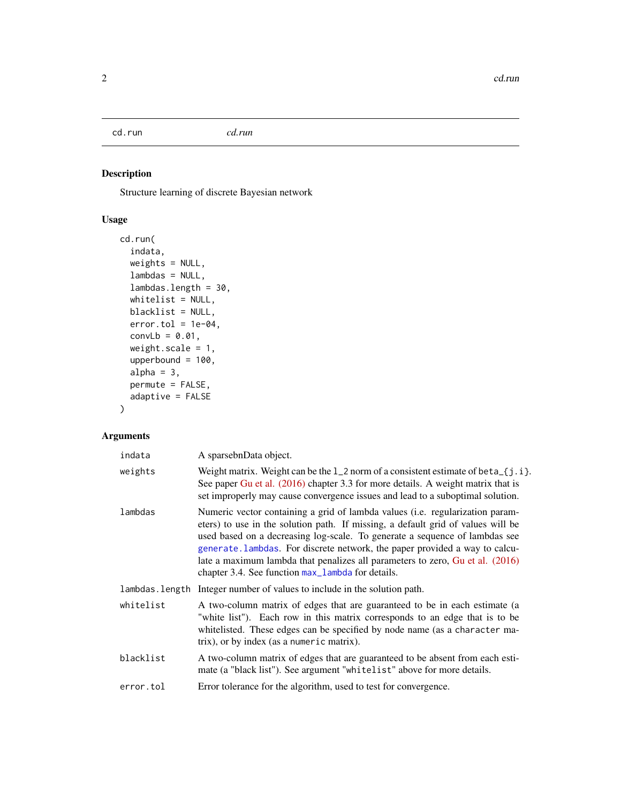<span id="page-1-0"></span>cd.run *cd.run*

# Description

Structure learning of discrete Bayesian network

# Usage

```
cd.run(
  indata,
 weights = NULL,
  lambdas = NULL,
  lambdas.length = 30,
  whitelist = NULL,
 blacklist = NULL,
  error.tol = 1e-04,convLb = 0.01,
 weight.scale = 1,
  upperbound = 100,
  alpha = 3,
 permute = FALSE,
  adaptive = FALSE
\mathcal{L}
```
# Arguments

| indata    | A sparsebnData object.                                                                                                                                                                                                                                                                                                                                                                                                                                                |
|-----------|-----------------------------------------------------------------------------------------------------------------------------------------------------------------------------------------------------------------------------------------------------------------------------------------------------------------------------------------------------------------------------------------------------------------------------------------------------------------------|
| weights   | Weight matrix. Weight can be the $1_2$ norm of a consistent estimate of beta $_{5}$ [j.i].<br>See paper Gu et al. (2016) chapter 3.3 for more details. A weight matrix that is<br>set improperly may cause convergence issues and lead to a suboptimal solution.                                                                                                                                                                                                      |
| lambdas   | Numeric vector containing a grid of lambda values (i.e. regularization param-<br>eters) to use in the solution path. If missing, a default grid of values will be<br>used based on a decreasing log-scale. To generate a sequence of lambdas see<br>generate. Lambdas. For discrete network, the paper provided a way to calcu-<br>late a maximum lambda that penalizes all parameters to zero, Gu et al. (2016)<br>chapter 3.4. See function max_lambda for details. |
|           | lambdas. length Integer number of values to include in the solution path.                                                                                                                                                                                                                                                                                                                                                                                             |
| whitelist | A two-column matrix of edges that are guaranteed to be in each estimate (a<br>"white list"). Each row in this matrix corresponds to an edge that is to be<br>whitelisted. These edges can be specified by node name (as a character ma-<br>trix), or by index (as a numeric matrix).                                                                                                                                                                                  |
| blacklist | A two-column matrix of edges that are guaranteed to be absent from each esti-<br>mate (a "black list"). See argument "whitelist" above for more details.                                                                                                                                                                                                                                                                                                              |
| error.tol | Error tolerance for the algorithm, used to test for convergence.                                                                                                                                                                                                                                                                                                                                                                                                      |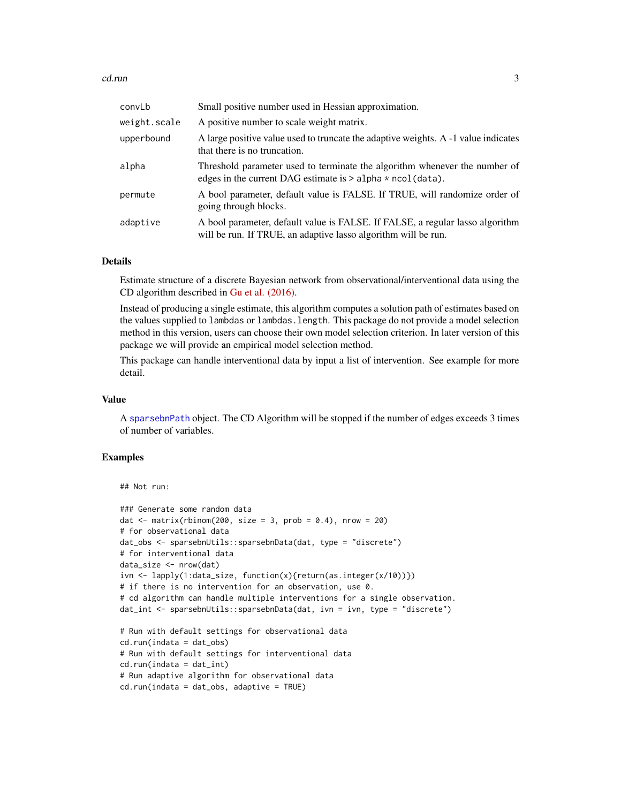#### <span id="page-2-0"></span> $cd.run$  3

| convLb       | Small positive number used in Hessian approximation.                                                                                            |
|--------------|-------------------------------------------------------------------------------------------------------------------------------------------------|
| weight.scale | A positive number to scale weight matrix.                                                                                                       |
| upperbound   | A large positive value used to truncate the adaptive weights. A -1 value indicates<br>that there is no truncation.                              |
| alpha        | Threshold parameter used to terminate the algorithm whenever the number of<br>edges in the current DAG estimate is $>$ alpha $*$ ncol(data).    |
| permute      | A bool parameter, default value is FALSE. If TRUE, will randomize order of<br>going through blocks.                                             |
| adaptive     | A bool parameter, default value is FALSE. If FALSE, a regular lasso algorithm<br>will be run. If TRUE, an adaptive lasso algorithm will be run. |

#### Details

Estimate structure of a discrete Bayesian network from observational/interventional data using the CD algorithm described in [Gu et al. \(2016\).](http://arxiv.org/abs/1403.2310)

Instead of producing a single estimate, this algorithm computes a solution path of estimates based on the values supplied to lambdas or lambdas.length. This package do not provide a model selection method in this version, users can choose their own model selection criterion. In later version of this package we will provide an empirical model selection method.

This package can handle interventional data by input a list of intervention. See example for more detail.

#### Value

A [sparsebnPath](#page-0-0) object. The CD Algorithm will be stopped if the number of edges exceeds 3 times of number of variables.

#### Examples

```
## Not run:
```

```
### Generate some random data
dat \le matrix(rbinom(200, size = 3, prob = 0.4), nrow = 20)
# for observational data
dat_obs <- sparsebnUtils::sparsebnData(dat, type = "discrete")
# for interventional data
data_size <- nrow(dat)
ivn <- lapply(1:data_size, function(x){return(as.integer(x/10))})
# if there is no intervention for an observation, use 0.
# cd algorithm can handle multiple interventions for a single observation.
dat_int <- sparsebnUtils::sparsebnData(dat, ivn = ivn, type = "discrete")
# Run with default settings for observational data
cd.run(indata = dat_obs)
# Run with default settings for interventional data
cd.run(indata = dat_int)
# Run adaptive algorithm for observational data
cd.run(indata = dat_obs, adaptive = TRUE)
```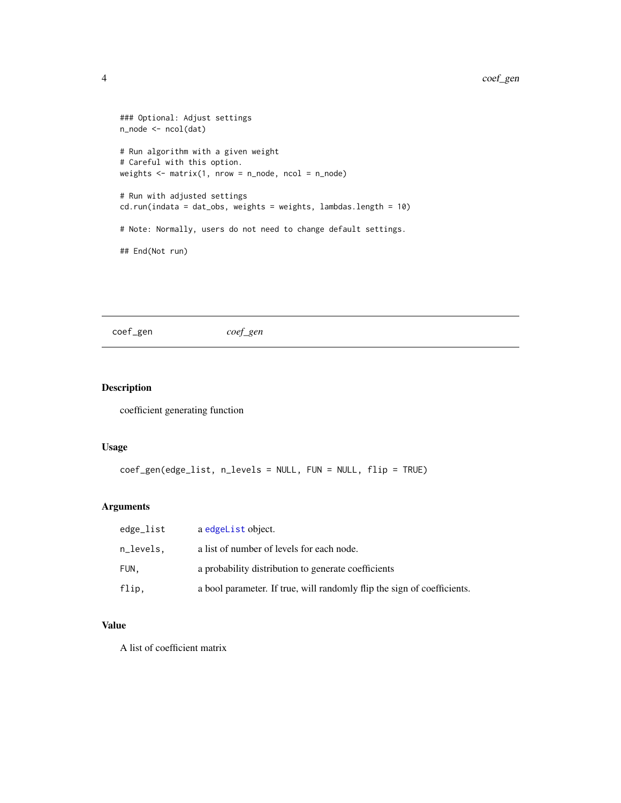```
### Optional: Adjust settings
n_node <- ncol(dat)
# Run algorithm with a given weight
# Careful with this option.
weights \leq matrix(1, nrow = n_node, ncol = n_node)
# Run with adjusted settings
cd.run(indata = dat_obs, weights = weights, lambdas.length = 10)
# Note: Normally, users do not need to change default settings.
## End(Not run)
```
coef\_gen *coef\_gen*

#### Description

coefficient generating function

#### Usage

```
coef_gen(edge_list, n_levels = NULL, FUN = NULL, flip = TRUE)
```
# Arguments

| edge_list | a edgeList object.                                                      |
|-----------|-------------------------------------------------------------------------|
| n_levels. | a list of number of levels for each node.                               |
| FUN.      | a probability distribution to generate coefficients                     |
| flip,     | a bool parameter. If true, will randomly flip the sign of coefficients. |

# Value

A list of coefficient matrix

<span id="page-3-0"></span>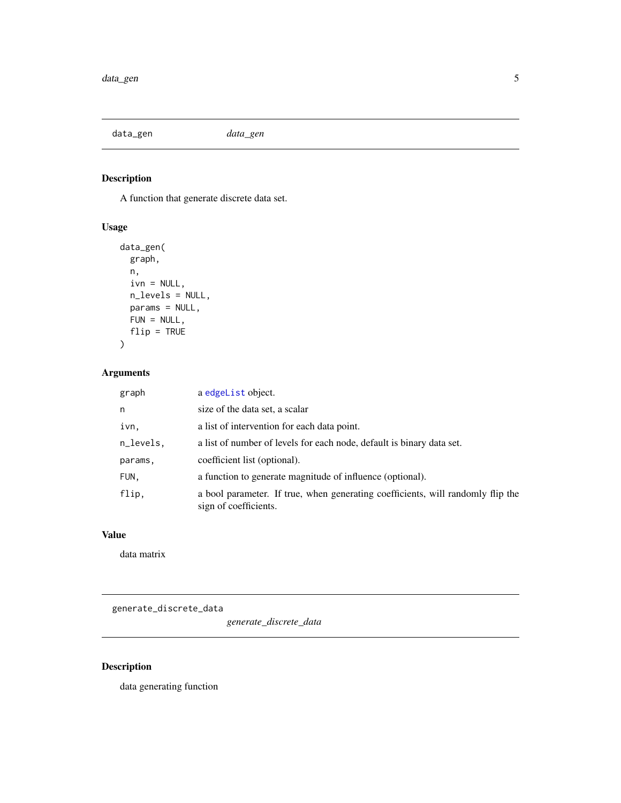<span id="page-4-0"></span>data\_gen *data\_gen*

# Description

A function that generate discrete data set.

# Usage

```
data_gen(
 graph,
 n,
 ivn = NULL,n_levels = NULL,
 params = NULL,
 FUN = NULL,
 flip = TRUE)
```
# Arguments

| graph     | a edgeList object.                                                                                       |
|-----------|----------------------------------------------------------------------------------------------------------|
| n         | size of the data set, a scalar                                                                           |
| ivn,      | a list of intervention for each data point.                                                              |
| n_levels, | a list of number of levels for each node, default is binary data set.                                    |
| params,   | coefficient list (optional).                                                                             |
| FUN,      | a function to generate magnitude of influence (optional).                                                |
| flip,     | a bool parameter. If true, when generating coefficients, will randomly flip the<br>sign of coefficients. |

# Value

data matrix

generate\_discrete\_data

*generate\_discrete\_data*

# Description

data generating function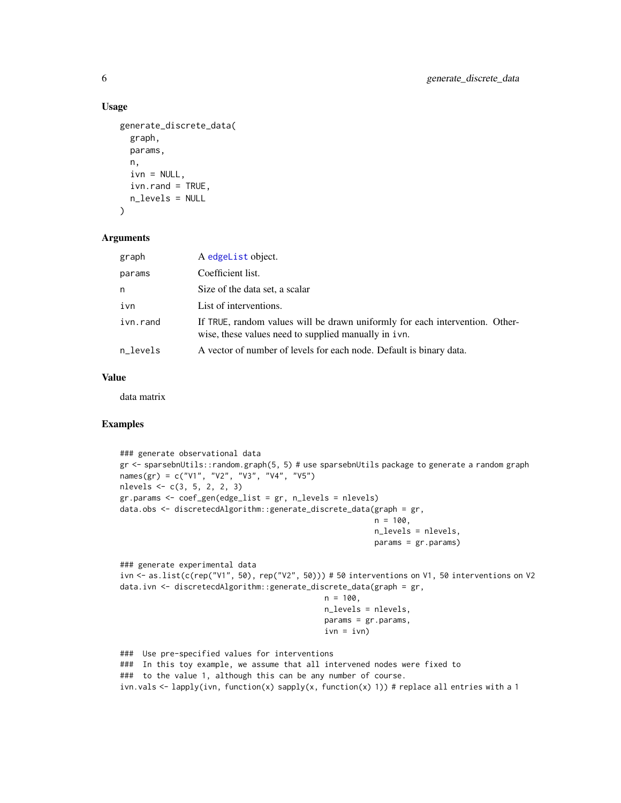#### Usage

```
generate_discrete_data(
  graph,
  params,
  n,
  ivn = NULL,
  ivn.rand = TRUE,
  n_levels = NULL
\lambda
```
#### Arguments

| graph    | A edgeList object.                                                                                                                   |
|----------|--------------------------------------------------------------------------------------------------------------------------------------|
| params   | Coefficient list.                                                                                                                    |
| n        | Size of the data set, a scalar                                                                                                       |
| ivn      | List of interventions.                                                                                                               |
| ivn.rand | If TRUE, random values will be drawn uniformly for each intervention. Other-<br>wise, these values need to supplied manually in ivn. |
| n_levels | A vector of number of levels for each node. Default is binary data.                                                                  |

#### Value

data matrix

# Examples

```
### generate observational data
gr <- sparsebnUtils::random.graph(5, 5) # use sparsebnUtils package to generate a random graph
names(gr) = c("V1", "V2", "V3", "V4", "V5")
nlevels <- c(3, 5, 2, 2, 3)
gr.params <- coef_gen(edge_list = gr, n_levels = nlevels)
data.obs <- discretecdAlgorithm::generate_discrete_data(graph = gr,
                                                         n = 100,
                                                         n_levels = nlevels,
                                                         params = gr.params)
### generate experimental data
ivn <- as.list(c(rep("V1", 50), rep("V2", 50))) # 50 interventions on V1, 50 interventions on V2
data.ivn <- discretecdAlgorithm::generate_discrete_data(graph = gr,
                                             n = 100,n_levels = nlevels,
                                              params = gr.params,
                                              ivn = ivn)### Use pre-specified values for interventions
### In this toy example, we assume that all intervened nodes were fixed to
### to the value 1, although this can be any number of course.
ivn.vals \leq lapply(ivn, function(x) sapply(x, function(x) 1)) # replace all entries with a 1
```
<span id="page-5-0"></span>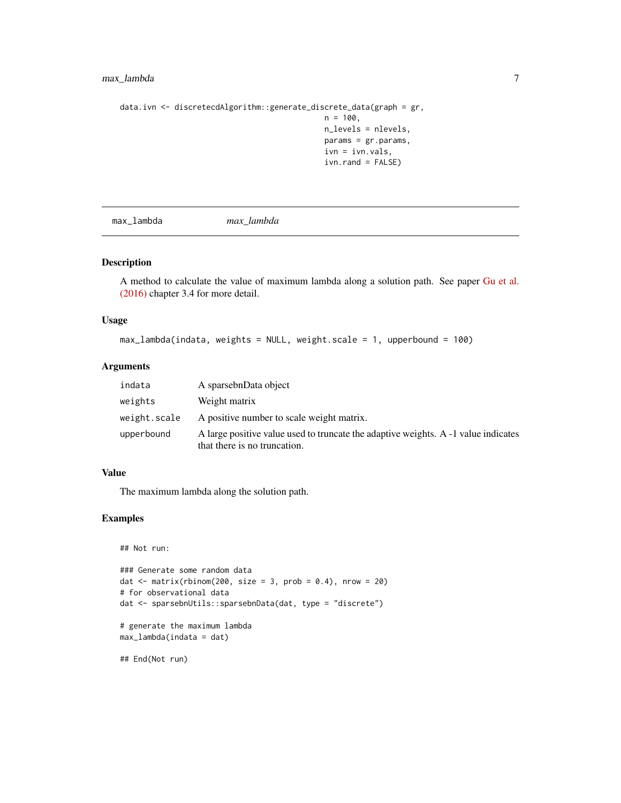# <span id="page-6-0"></span>max\_lambda 7

```
data.ivn <- discretecdAlgorithm::generate_discrete_data(graph = gr,
                                             n = 100,
                                             n_levels = nlevels,
                                             params = gr.params,
                                             ivn = ivn.vals,
                                             ivn.rand = FALSE)
```
<span id="page-6-1"></span>max\_lambda *max\_lambda*

#### Description

A method to calculate the value of maximum lambda along a solution path. See paper [Gu et al.](http://arxiv.org/abs/1403.2310) [\(2016\)](http://arxiv.org/abs/1403.2310) chapter 3.4 for more detail.

#### Usage

```
max_lambda(indata, weights = NULL, weight.scale = 1, upperbound = 100)
```
#### Arguments

| indata       | A sparsebnData object                                                                                              |
|--------------|--------------------------------------------------------------------------------------------------------------------|
| weights      | Weight matrix                                                                                                      |
| weight.scale | A positive number to scale weight matrix.                                                                          |
| upperbound   | A large positive value used to truncate the adaptive weights. A -1 value indicates<br>that there is no truncation. |

# Value

The maximum lambda along the solution path.

# Examples

```
## Not run:
### Generate some random data
dat \le matrix(rbinom(200, size = 3, prob = 0.4), nrow = 20)
# for observational data
dat <- sparsebnUtils::sparsebnData(dat, type = "discrete")
# generate the maximum lambda
max_lambda(indata = dat)
```
## End(Not run)